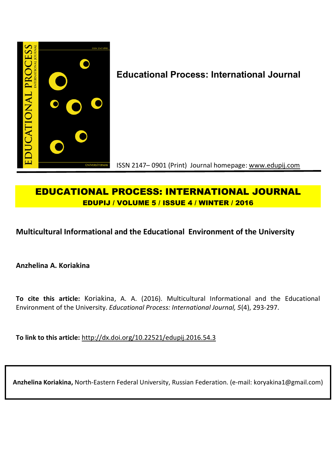

# **EDUCATIONAL PROCESS: INTERNATIONAL JOURNAL EDUPIJ / VOLUME 5 / ISSUE 4 / WINTER / 2016**

## **Multicultural Informational and the Educational Environment of the University**

**Anzhelina A. Koriakina**

**To cite this article:** Koriakina, A. A. (2016). Multicultural Informational and the Educational Environment of the University. *Educational Process: International Journal, 5*(4), 293-297.

**To link to this article:** http://dx.doi.org/10.22521/edupij.2016.54.3

**Anzhelina Koriakina,** North-Eastern Federal University, Russian Federation. (e-mail: koryakina1@gmail.com)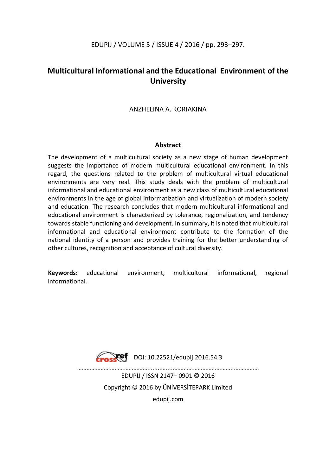## EDUPIJ / VOLUME 5 / ISSUE 4 / 2016 / pp. 293–297.

## **Multicultural Informational and the Educational Environment of the University**

### ANZHELINA A. KORIAKINA

#### **Abstract**

The development of a multicultural society as a new stage of human development suggests the importance of modern multicultural educational environment. In this regard, the questions related to the problem of multicultural virtual educational environments are very real. This study deals with the problem of multicultural informational and educational environment as a new class of multicultural educational environments in the age of global informatization and virtualization of modern society and education. The research concludes that modern multicultural informational and educational environment is characterized by tolerance, regionalization, and tendency towards stable functioning and development. In summary, it is noted that multicultural informational and educational environment contribute to the formation of the national identity of a person and provides training for the better understanding of other cultures, recognition and acceptance of cultural diversity.

**Keywords:** educational environment, multicultural informational, regional informational.



DOI: 10.22521/edupij.2016.54.3

EDUPIJ / ISSN 2147– 0901 © 2016 Copyright © 2016 by ÜNİVERSİTEPARK Limited edupij.com

………………………………………........….....………………………………...……………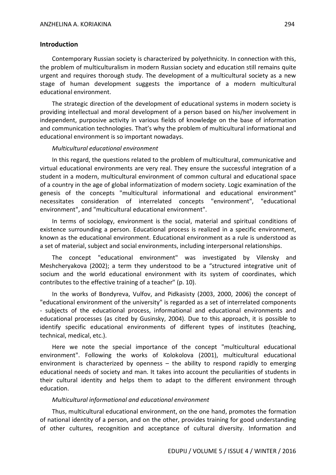#### **Introduction**

Contemporary Russian society is characterized by polyethnicity. In connection with this, the problem of multiculturalism in modern Russian society and education still remains quite urgent and requires thorough study. The development of a multicultural society as a new stage of human development suggests the importance of a modern multicultural educational environment.

The strategic direction of the development of educational systems in modern society is providing intellectual and moral development of a person based on his/her involvement in independent, purposive activity in various fields of knowledge on the base of information and communication technologies. That's why the problem of multicultural informational and educational environment is so important nowadays.

#### *Multicultural educational environment*

In this regard, the questions related to the problem of multicultural, communicative and virtual educational environments are very real. They ensure the successful integration of a student in a modern, multicultural environment of common cultural and educational space of a country in the age of global informatization of modern society. Logic examination of the genesis of the concepts "multicultural informational and educational environment" necessitates consideration of interrelated concepts "environment", "educational environment", and "multicultural educational environment".

In terms of sociology, environment is the social, material and spiritual conditions of existence surrounding a person. Educational process is realized in a specific environment, known as the educational environment. Educational environment as a rule is understood as a set of material, subject and social environments, including interpersonal relationships.

The concept "educational environment" was investigated by Vilensky and Meshcheryakova (2002); a term they understood to be a "structured integrative unit of socium and the world educational environment with its system of coordinates, which contributes to the effective training of a teacher" (p. 10).

In the works of Bondyreva, Vulfov, and Pidkasisty (2003, 2000, 2006) the concept of "educational environment of the university" is regarded as a set of interrelated components - subjects of the educational process, informational and educational environments and educational processes (as cited by Gusinsky, 2004). Due to this approach, it is possible to identify specific educational environments of different types of institutes (teaching, technical, medical, etc.).

Here we note the special importance of the concept "multicultural educational environment". Following the works of Kolokolova (2001), multicultural educational environment is characterized by openness – the ability to respond rapidly to emerging educational needs of society and man. It takes into account the peculiarities of students in their cultural identity and helps them to adapt to the different environment through education.

#### *Multicultural informational and educational environment*

Thus, multicultural educational environment, on the one hand, promotes the formation of national identity of a person, and on the other, provides training for good understanding of other cultures, recognition and acceptance of cultural diversity. Information and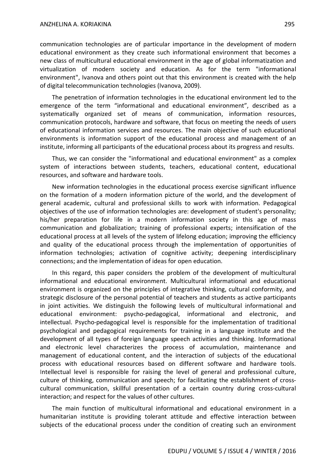communication technologies are of particular importance in the development of modern educational environment as they create such informational environment that becomes a new class of multicultural educational environment in the age of global informatization and virtualization of modern society and education. As for the term "informational environment", Ivanova and others point out that this environment is created with the help of digital telecommunication technologies (Ivanova, 2009).

The penetration of information technologies in the educational environment led to the emergence of the term "informational and educational environment", described as a systematically organized set of means of communication, information resources, communication protocols, hardware and software, that focus on meeting the needs of users of educational information services and resources. The main objective of such educational environments is information support of the educational process and management of an institute, informing all participants of the educational process about its progress and results.

Thus, we can consider the "informational and educational environment" as a complex system of interactions between students, teachers, educational content, educational resources, and software and hardware tools.

New information technologies in the educational process exercise significant influence on the formation of a modern information picture of the world, and the development of general academic, cultural and professional skills to work with information. Pedagogical objectives of the use of information technologies are: development of student's personality; his/her preparation for life in a modern information society in this age of mass communication and globalization; training of professional experts; intensification of the educational process at all levels of the system of lifelong education; improving the efficiency and quality of the educational process through the implementation of opportunities of information technologies; activation of cognitive activity; deepening interdisciplinary connections; and the implementation of ideas for open education.

In this regard, this paper considers the problem of the development of multicultural informational and educational environment. Multicultural informational and educational environment is organized on the principles of integrative thinking, cultural conformity, and strategic disclosure of the personal potential of teachers and students as active participants in joint activities. We distinguish the following levels of multicultural informational and educational environment: psycho-pedagogical, informational and electronic, and intellectual. Psycho-pedagogical level is responsible for the implementation of traditional psychological and pedagogical requirements for training in a language institute and the development of all types of foreign language speech activities and thinking. Informational and electronic level characterizes the process of accumulation, maintenance and management of educational content, and the interaction of subjects of the educational process with educational resources based on different software and hardware tools. Intellectual level is responsible for raising the level of general and professional culture, culture of thinking, communication and speech; for facilitating the establishment of crosscultural communication, skillful presentation of a certain country during cross-cultural interaction; and respect for the values of other cultures.

The main function of multicultural informational and educational environment in a humanitarian institute is providing tolerant attitude and effective interaction between subjects of the educational process under the condition of creating such an environment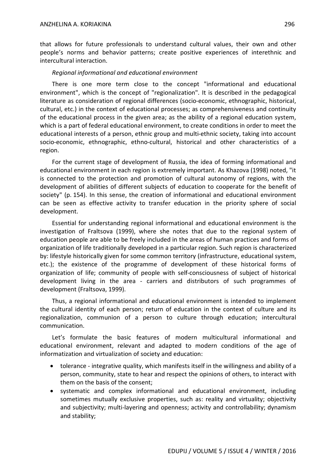that allows for future professionals to understand cultural values, their own and other people's norms and behavior patterns; create positive experiences of interethnic and intercultural interaction.

#### *Regional informational and educational environment*

There is one more term close to the concept "informational and educational environment", which is the concept of "regionalization". It is described in the pedagogical literature as consideration of regional differences (socio-economic, ethnographic, historical, cultural, etc.) in the context of educational processes; as comprehensiveness and continuity of the educational process in the given area; as the ability of a regional education system, which is a part of federal educational environment, to create conditions in order to meet the educational interests of a person, ethnic group and multi-ethnic society, taking into account socio-economic, ethnographic, ethno-cultural, historical and other characteristics of a region.

For the current stage of development of Russia, the idea of forming informational and educational environment in each region is extremely important. As Khazova (1998) noted, "it is connected to the protection and promotion of cultural autonomy of regions, with the development of abilities of different subjects of education to cooperate for the benefit of society" (p. 154). In this sense, the creation of informational and educational environment can be seen as effective activity to transfer education in the priority sphere of social development.

Essential for understanding regional informational and educational environment is the investigation of Fraltsova (1999), where she notes that due to the regional system of education people are able to be freely included in the areas of human practices and forms of organization of life traditionally developed in a particular region. Such region is characterized by: lifestyle historically given for some common territory (infrastructure, educational system, etc.); the existence of the programme of development of these historical forms of organization of life; community of people with self-consciousness of subject of historical development living in the area - carriers and distributors of such programmes of development (Fraltsova, 1999).

Thus, a regional informational and educational environment is intended to implement the cultural identity of each person; return of education in the context of culture and its regionalization, communion of a person to culture through education; intercultural communication.

Let's formulate the basic features of modern multicultural informational and educational environment, relevant and adapted to modern conditions of the age of informatization and virtualization of society and education:

- tolerance integrative quality, which manifests itself in the willingness and ability of a person, community, state to hear and respect the opinions of others, to interact with them on the basis of the consent;
- systematic and complex informational and educational environment, including sometimes mutually exclusive properties, such as: reality and virtuality; objectivity and subjectivity; multi-layering and openness; activity and controllability; dynamism and stability;